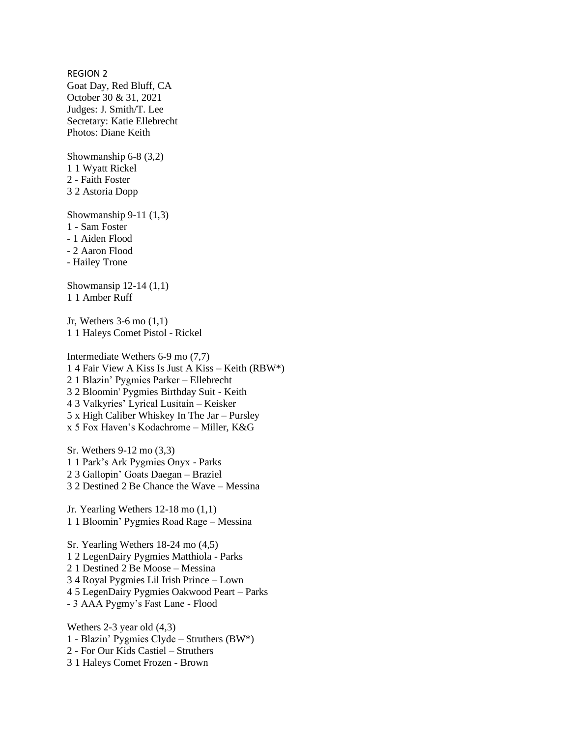REGION 2 Goat Day, Red Bluff, CA October 30 & 31, 2021 Judges: J. Smith/T. Lee Secretary: Katie Ellebrecht Photos: Diane Keith

Showmanship 6-8 (3,2) 1 1 Wyatt Rickel 2 - Faith Foster 3 2 Astoria Dopp

Showmanship 9-11 (1,3) 1 - Sam Foster - 1 Aiden Flood - 2 Aaron Flood - Hailey Trone

Showmansip 12-14 (1,1) 1 1 Amber Ruff

Jr, Wethers 3-6 mo (1,1) 1 1 Haleys Comet Pistol - Rickel

Intermediate Wethers 6-9 mo (7,7) 1 4 Fair View A Kiss Is Just A Kiss – Keith (RBW\*) 2 1 Blazin' Pygmies Parker – Ellebrecht 3 2 Bloomin' Pygmies Birthday Suit - Keith 4 3 Valkyries' Lyrical Lusitain – Keisker 5 x High Caliber Whiskey In The Jar – Pursley x 5 Fox Haven's Kodachrome – Miller, K&G

Sr. Wethers 9-12 mo (3,3) 1 1 Park's Ark Pygmies Onyx - Parks 2 3 Gallopin' Goats Daegan – Braziel 3 2 Destined 2 Be Chance the Wave – Messina

Jr. Yearling Wethers 12-18 mo (1,1) 1 1 Bloomin' Pygmies Road Rage – Messina

Sr. Yearling Wethers 18-24 mo (4,5) 1 2 LegenDairy Pygmies Matthiola - Parks 2 1 Destined 2 Be Moose – Messina 3 4 Royal Pygmies Lil Irish Prince – Lown 4 5 LegenDairy Pygmies Oakwood Peart – Parks - 3 AAA Pygmy's Fast Lane - Flood

Wethers 2-3 year old (4,3) 1 - Blazin' Pygmies Clyde – Struthers (BW\*) 2 - For Our Kids Castiel – Struthers 3 1 Haleys Comet Frozen - Brown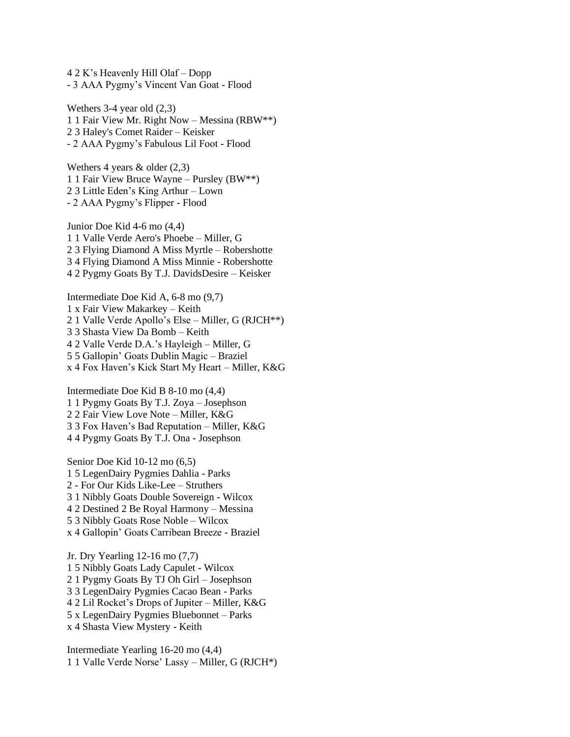4 2 K's Heavenly Hill Olaf – Dopp - 3 AAA Pygmy's Vincent Van Goat - Flood

Wethers 3-4 year old (2,3) 1 1 Fair View Mr. Right Now – Messina (RBW\*\*) 2 3 Haley's Comet Raider – Keisker - 2 AAA Pygmy's Fabulous Lil Foot - Flood

Wethers 4 years  $\&$  older (2,3) 1 1 Fair View Bruce Wayne – Pursley (BW\*\*) 2 3 Little Eden's King Arthur – Lown - 2 AAA Pygmy's Flipper - Flood

Junior Doe Kid 4-6 mo (4,4) 1 1 Valle Verde Aero's Phoebe – Miller, G 2 3 Flying Diamond A Miss Myrtle – Robershotte 3 4 Flying Diamond A Miss Minnie - Robershotte 4 2 Pygmy Goats By T.J. DavidsDesire – Keisker

Intermediate Doe Kid A, 6-8 mo (9,7) 1 x Fair View Makarkey – Keith 2 1 Valle Verde Apollo's Else – Miller, G (RJCH\*\*) 3 3 Shasta View Da Bomb – Keith 4 2 Valle Verde D.A.'s Hayleigh – Miller, G 5 5 Gallopin' Goats Dublin Magic – Braziel x 4 Fox Haven's Kick Start My Heart – Miller, K&G

Intermediate Doe Kid B 8-10 mo (4,4) 1 1 Pygmy Goats By T.J. Zoya – Josephson 2 2 Fair View Love Note – Miller, K&G 3 3 Fox Haven's Bad Reputation – Miller, K&G 4 4 Pygmy Goats By T.J. Ona - Josephson

Senior Doe Kid 10-12 mo (6,5) 1 5 LegenDairy Pygmies Dahlia - Parks 2 - For Our Kids Like-Lee – Struthers 3 1 Nibbly Goats Double Sovereign - Wilcox 4 2 Destined 2 Be Royal Harmony – Messina 5 3 Nibbly Goats Rose Noble – Wilcox x 4 Gallopin' Goats Carribean Breeze - Braziel

Jr. Dry Yearling 12-16 mo (7,7) 1 5 Nibbly Goats Lady Capulet - Wilcox 2 1 Pygmy Goats By TJ Oh Girl – Josephson 3 3 LegenDairy Pygmies Cacao Bean - Parks 4 2 Lil Rocket's Drops of Jupiter – Miller, K&G 5 x LegenDairy Pygmies Bluebonnet – Parks x 4 Shasta View Mystery - Keith

Intermediate Yearling 16-20 mo (4,4) 1 1 Valle Verde Norse' Lassy – Miller, G (RJCH\*)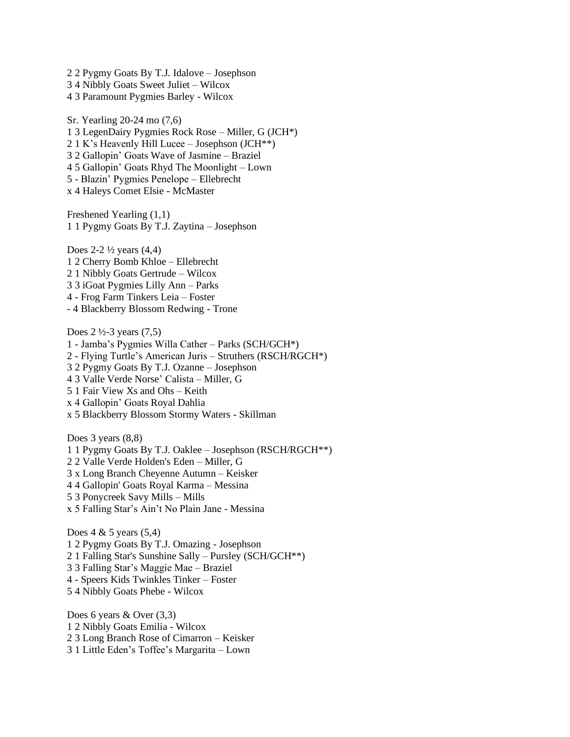2 2 Pygmy Goats By T.J. Idalove – Josephson 3 4 Nibbly Goats Sweet Juliet – Wilcox 4 3 Paramount Pygmies Barley - Wilcox

Sr. Yearling 20-24 mo (7,6) 1 3 LegenDairy Pygmies Rock Rose – Miller, G (JCH\*) 2 1 K's Heavenly Hill Lucee – Josephson (JCH\*\*) 3 2 Gallopin' Goats Wave of Jasmine – Braziel 4 5 Gallopin' Goats Rhyd The Moonlight – Lown 5 - Blazin' Pygmies Penelope – Ellebrecht x 4 Haleys Comet Elsie - McMaster

Freshened Yearling (1,1) 1 1 Pygmy Goats By T.J. Zaytina – Josephson

Does  $2-2\frac{1}{2}$  years  $(4,4)$ 1 2 Cherry Bomb Khloe – Ellebrecht 2 1 Nibbly Goats Gertrude – Wilcox 3 3 iGoat Pygmies Lilly Ann – Parks 4 - Frog Farm Tinkers Leia – Foster - 4 Blackberry Blossom Redwing - Trone

Does  $2\frac{1}{2}$ -3 years (7,5) 1 - Jamba's Pygmies Willa Cather – Parks (SCH/GCH\*) 2 - Flying Turtle's American Juris – Struthers (RSCH/RGCH\*) 3 2 Pygmy Goats By T.J. Ozanne – Josephson 4 3 Valle Verde Norse' Calista – Miller, G 5 1 Fair View Xs and Ohs – Keith x 4 Gallopin' Goats Royal Dahlia x 5 Blackberry Blossom Stormy Waters - Skillman

Does 3 years  $(8,8)$ 1 1 Pygmy Goats By T.J. Oaklee – Josephson (RSCH/RGCH\*\*) 2 2 Valle Verde Holden's Eden – Miller, G 3 x Long Branch Cheyenne Autumn – Keisker 4 4 Gallopin' Goats Royal Karma – Messina 5 3 Ponycreek Savy Mills – Mills x 5 Falling Star's Ain't No Plain Jane - Messina

Does  $4 \& 5 \text{ years } (5,4)$ 1 2 Pygmy Goats By T.J. Omazing - Josephson 2 1 Falling Star's Sunshine Sally – Pursley (SCH/GCH\*\*) 3 3 Falling Star's Maggie Mae – Braziel 4 - Speers Kids Twinkles Tinker – Foster 5 4 Nibbly Goats Phebe - Wilcox

Does 6 years & Over (3,3) 1 2 Nibbly Goats Emilia - Wilcox 2 3 Long Branch Rose of Cimarron – Keisker 3 1 Little Eden's Toffee's Margarita – Lown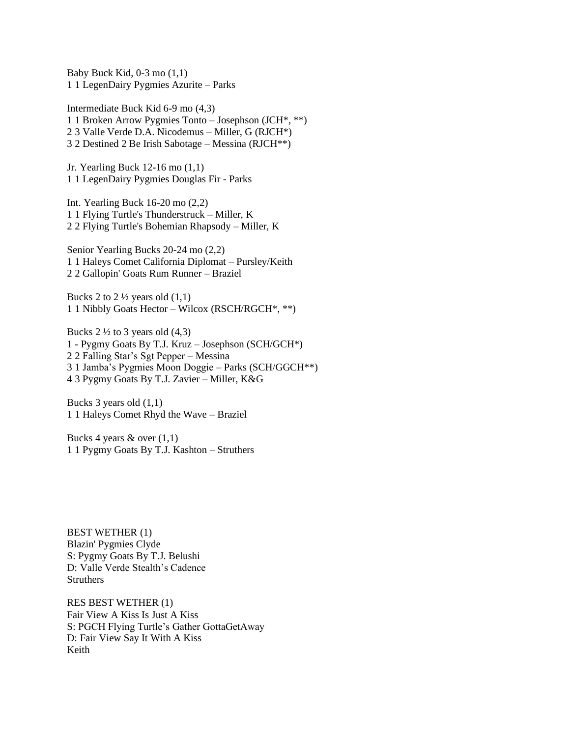Baby Buck Kid,  $0-3$  mo  $(1,1)$ 1 1 LegenDairy Pygmies Azurite – Parks

Intermediate Buck Kid 6-9 mo (4,3) 1 1 Broken Arrow Pygmies Tonto – Josephson (JCH\*, \*\*) 2 3 Valle Verde D.A. Nicodemus – Miller, G (RJCH\*) 3 2 Destined 2 Be Irish Sabotage – Messina (RJCH\*\*)

Jr. Yearling Buck 12-16 mo (1,1) 1 1 LegenDairy Pygmies Douglas Fir - Parks

Int. Yearling Buck 16-20 mo (2,2) 1 1 Flying Turtle's Thunderstruck – Miller, K 2 2 Flying Turtle's Bohemian Rhapsody – Miller, K

Senior Yearling Bucks 20-24 mo (2,2) 1 1 Haleys Comet California Diplomat – Pursley/Keith 2 2 Gallopin' Goats Rum Runner – Braziel

Bucks 2 to  $2\frac{1}{2}$  years old  $(1,1)$ 1 1 Nibbly Goats Hector – Wilcox (RSCH/RGCH\*, \*\*)

Bucks  $2 \frac{1}{2}$  to 3 years old  $(4,3)$ 1 - Pygmy Goats By T.J. Kruz – Josephson (SCH/GCH\*) 2 2 Falling Star's Sgt Pepper – Messina 3 1 Jamba's Pygmies Moon Doggie – Parks (SCH/GGCH\*\*) 4 3 Pygmy Goats By T.J. Zavier – Miller, K&G

Bucks 3 years old (1,1) 1 1 Haleys Comet Rhyd the Wave – Braziel

Bucks 4 years  $\&$  over  $(1,1)$ 1 1 Pygmy Goats By T.J. Kashton – Struthers

BEST WETHER (1) Blazin' Pygmies Clyde S: Pygmy Goats By T.J. Belushi D: Valle Verde Stealth's Cadence **Struthers** 

RES BEST WETHER (1) Fair View A Kiss Is Just A Kiss S: PGCH Flying Turtle's Gather GottaGetAway D: Fair View Say It With A Kiss Keith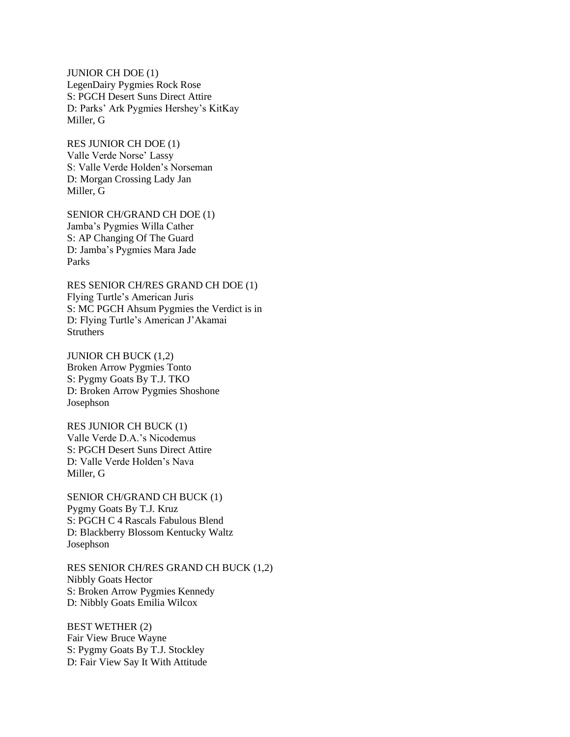JUNIOR CH DOE (1) LegenDairy Pygmies Rock Rose S: PGCH Desert Suns Direct Attire D: Parks' Ark Pygmies Hershey's KitKay Miller, G

RES JUNIOR CH DOE (1) Valle Verde Norse' Lassy S: Valle Verde Holden's Norseman D: Morgan Crossing Lady Jan Miller, G

SENIOR CH/GRAND CH DOE (1) Jamba's Pygmies Willa Cather S: AP Changing Of The Guard D: Jamba's Pygmies Mara Jade Parks

RES SENIOR CH/RES GRAND CH DOE (1) Flying Turtle's American Juris S: MC PGCH Ahsum Pygmies the Verdict is in D: Flying Turtle's American J'Akamai **Struthers** 

JUNIOR CH BUCK (1,2) Broken Arrow Pygmies Tonto S: Pygmy Goats By T.J. TKO D: Broken Arrow Pygmies Shoshone Josephson

RES JUNIOR CH BUCK (1) Valle Verde D.A.'s Nicodemus S: PGCH Desert Suns Direct Attire D: Valle Verde Holden's Nava Miller, G

SENIOR CH/GRAND CH BUCK (1) Pygmy Goats By T.J. Kruz S: PGCH C 4 Rascals Fabulous Blend D: Blackberry Blossom Kentucky Waltz Josephson

RES SENIOR CH/RES GRAND CH BUCK (1,2) Nibbly Goats Hector S: Broken Arrow Pygmies Kennedy D: Nibbly Goats Emilia Wilcox

BEST WETHER (2) Fair View Bruce Wayne S: Pygmy Goats By T.J. Stockley D: Fair View Say It With Attitude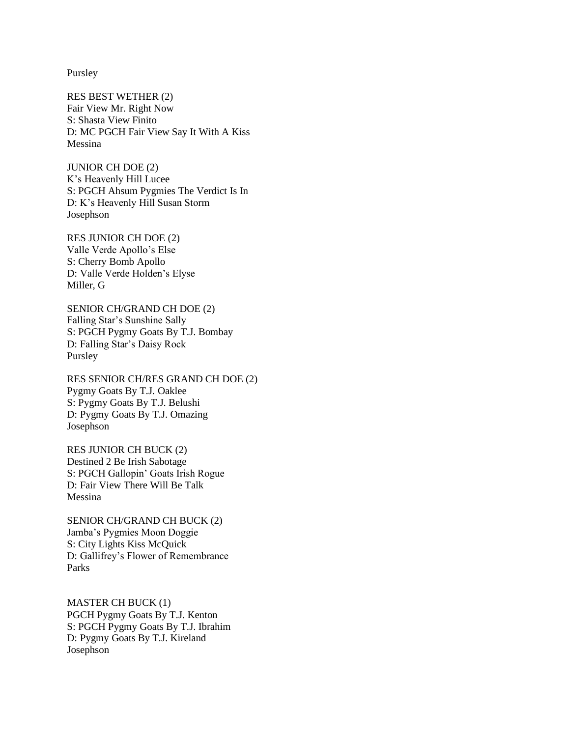Pursley

RES BEST WETHER (2) Fair View Mr. Right Now S: Shasta View Finito D: MC PGCH Fair View Say It With A Kiss Messina

JUNIOR CH DOE (2) K's Heavenly Hill Lucee S: PGCH Ahsum Pygmies The Verdict Is In D: K's Heavenly Hill Susan Storm Josephson

RES JUNIOR CH DOE (2) Valle Verde Apollo's Else S: Cherry Bomb Apollo D: Valle Verde Holden's Elyse Miller, G

SENIOR CH/GRAND CH DOE (2) Falling Star's Sunshine Sally S: PGCH Pygmy Goats By T.J. Bombay D: Falling Star's Daisy Rock Pursley

RES SENIOR CH/RES GRAND CH DOE (2) Pygmy Goats By T.J. Oaklee S: Pygmy Goats By T.J. Belushi D: Pygmy Goats By T.J. Omazing Josephson

RES JUNIOR CH BUCK (2) Destined 2 Be Irish Sabotage S: PGCH Gallopin' Goats Irish Rogue D: Fair View There Will Be Talk Messina

SENIOR CH/GRAND CH BUCK (2) Jamba's Pygmies Moon Doggie S: City Lights Kiss McQuick D: Gallifrey's Flower of Remembrance Parks

MASTER CH BUCK (1) PGCH Pygmy Goats By T.J. Kenton S: PGCH Pygmy Goats By T.J. Ibrahim D: Pygmy Goats By T.J. Kireland Josephson